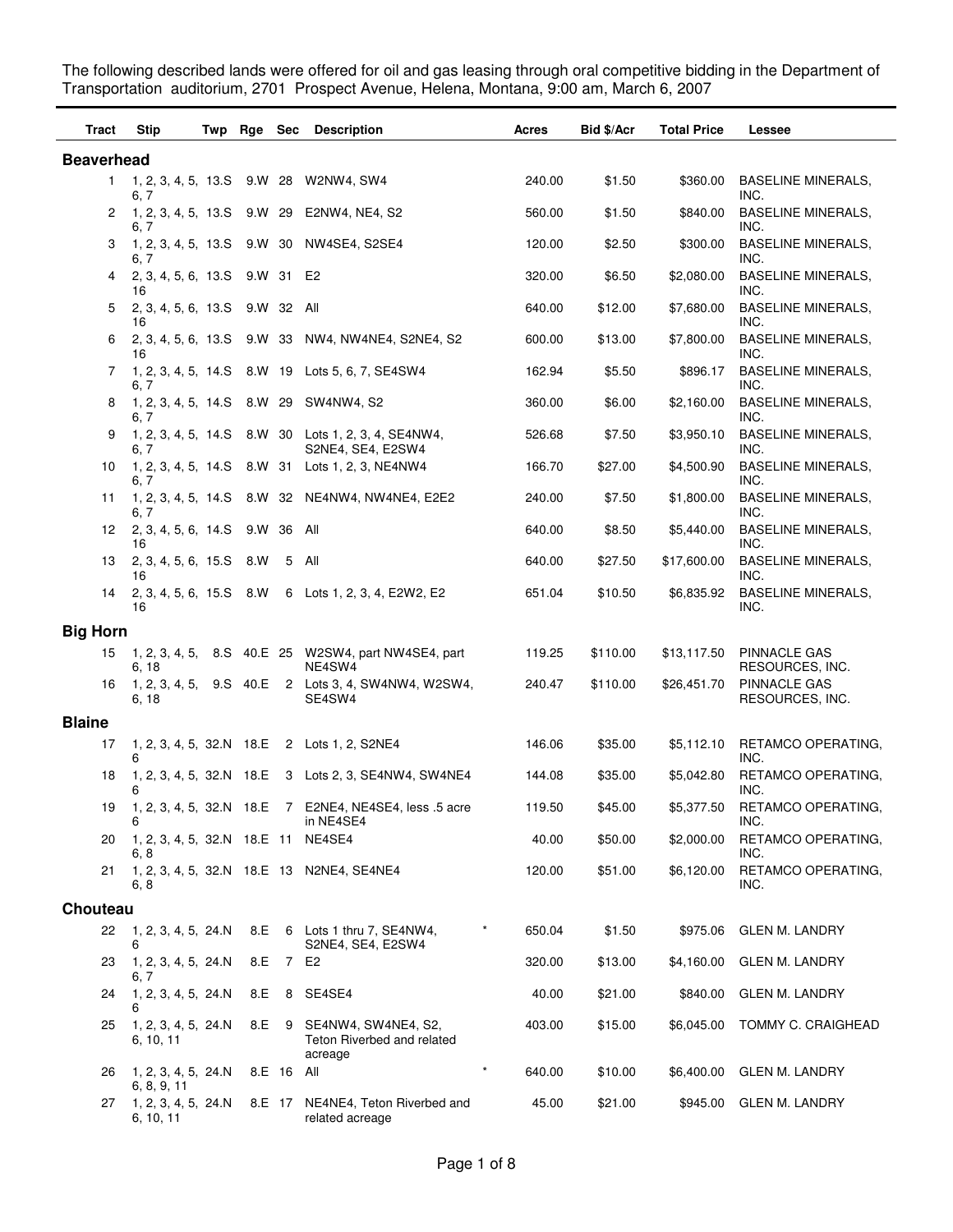The following described lands were offered for oil and gas leasing through oral competitive bidding in the Department of Transportation auditorium, 2701 Prospect Avenue, Helena, Montana, 9:00 am, March 6, 2007

| Tract             | Stip                                       | Twp Rge Sec |            | <b>Description</b>                                                       | Acres            | Bid \$/Acr | <b>Total Price</b> | <b>Lessee</b>                     |
|-------------------|--------------------------------------------|-------------|------------|--------------------------------------------------------------------------|------------------|------------|--------------------|-----------------------------------|
| <b>Beaverhead</b> |                                            |             |            |                                                                          |                  |            |                    |                                   |
| 1                 | 1, 2, 3, 4, 5, 13.S 9.W 28<br>6, 7         |             |            | W2NW4, SW4                                                               | 240.00           | \$1.50     | \$360.00           | <b>BASELINE MINERALS,</b><br>INC. |
| 2                 | 1, 2, 3, 4, 5, 13.S 9.W 29<br>6, 7         |             |            | E2NW4, NE4, S2                                                           | 560.00           | \$1.50     | \$840.00           | <b>BASELINE MINERALS,</b><br>INC. |
| 3                 | 6. 7                                       |             |            | 1, 2, 3, 4, 5, 13.S 9.W 30 NW4SE4, S2SE4                                 | 120.00           | \$2.50     | \$300.00           | <b>BASELINE MINERALS,</b><br>INC. |
| 4                 | 2, 3, 4, 5, 6, 13.S 9.W 31 E2<br>16        |             |            |                                                                          | 320.00           | \$6.50     | \$2,080.00         | <b>BASELINE MINERALS,</b><br>INC. |
| 5                 | 2, 3, 4, 5, 6, 13.S 9.W 32 All<br>16       |             |            |                                                                          | 640.00           | \$12.00    | \$7,680.00         | <b>BASELINE MINERALS,</b><br>INC. |
| 6                 | 16                                         |             |            | 2, 3, 4, 5, 6, 13.S 9.W 33 NW4, NW4NE4, S2NE4, S2                        | 600.00           | \$13.00    | \$7,800.00         | <b>BASELINE MINERALS,</b><br>INC. |
| 7                 | 6. 7                                       |             |            | 1, 2, 3, 4, 5, 14.S 8.W 19 Lots 5, 6, 7, SE4SW4                          | 162.94           | \$5.50     | \$896.17           | <b>BASELINE MINERALS,</b><br>INC. |
| 8                 | 1, 2, 3, 4, 5, 14. S 8. W 29<br>6, 7       |             |            | SW4NW4, S2                                                               | 360.00           | \$6.00     | \$2,160.00         | <b>BASELINE MINERALS,</b><br>INC. |
| 9                 | 6, 7                                       |             |            | 1, 2, 3, 4, 5, 14.S 8.W 30 Lots 1, 2, 3, 4, SE4NW4,<br>S2NE4, SE4, E2SW4 | 526.68           | \$7.50     | \$3,950.10         | <b>BASELINE MINERALS,</b><br>INC. |
| 10                | 6, 7                                       |             |            | 1, 2, 3, 4, 5, 14. S 8. W 31 Lots 1, 2, 3, NE4NW4                        | 166.70           | \$27.00    | \$4,500.90         | <b>BASELINE MINERALS,</b><br>INC. |
| 11                | 6. 7                                       |             |            | 1, 2, 3, 4, 5, 14.S 8.W 32 NE4NW4, NW4NE4, E2E2                          | 240.00           | \$7.50     | \$1,800.00         | <b>BASELINE MINERALS,</b><br>INC. |
| 12                | 2, 3, 4, 5, 6, 14.S 9.W 36 All<br>16       |             |            |                                                                          | 640.00           | \$8.50     | \$5,440.00         | <b>BASELINE MINERALS,</b><br>INC. |
| 13                | 2, 3, 4, 5, 6, 15. S<br>16                 | 8.W         | 5          | All                                                                      | 640.00           | \$27.50    | \$17,600.00        | <b>BASELINE MINERALS,</b><br>INC. |
| 14                | 2, 3, 4, 5, 6, 15.S 8.W<br>16              |             |            | 6 Lots 1, 2, 3, 4, E2W2, E2                                              | 651.04           | \$10.50    | \$6,835.92         | <b>BASELINE MINERALS,</b><br>INC. |
| <b>Big Horn</b>   |                                            |             |            |                                                                          |                  |            |                    |                                   |
| 15                | 6, 18                                      |             |            | 1, 2, 3, 4, 5, 8.S 40.E 25 W2SW4, part NW4SE4, part<br>NE4SW4            | 119.25           | \$110.00   | \$13,117.50        | PINNACLE GAS<br>RESOURCES, INC.   |
| 16                | 1, 2, 3, 4, 5, 9.S 40.E<br>6, 18           |             |            | 2 Lots 3, 4, SW4NW4, W2SW4,<br>SE4SW4                                    | 240.47           | \$110.00   | \$26,451.70        | PINNACLE GAS<br>RESOURCES, INC.   |
| <b>Blaine</b>     |                                            |             |            |                                                                          |                  |            |                    |                                   |
| 17                | 1, 2, 3, 4, 5, 32.N 18.E                   |             |            | 2 Lots 1, 2, S2NE4                                                       | 146.06           | \$35.00    | \$5,112.10         | RETAMCO OPERATING,<br>INC.        |
| 18                | 1, 2, 3, 4, 5, 32.N 18.E<br>6              |             |            | 3 Lots 2, 3, SE4NW4, SW4NE4                                              | 144.08           | \$35.00    | \$5,042.80         | RETAMCO OPERATING,<br>INC.        |
| 19                | 6                                          |             |            | 1, 2, 3, 4, 5, 32.N 18.E 7 E2NE4, NE4SE4, less .5 acre<br>in NE4SE4      | 119.50           | \$45.00    | \$5,377.50         | RETAMCO OPERATING,<br>INC.        |
| 20                | 1, 2, 3, 4, 5, 32.N 18.E 11 NE4SE4<br>6, 8 |             |            |                                                                          | 40.00            | \$50.00    | \$2,000.00         | RETAMCO OPERATING,<br>INC.        |
| 21                | 6, 8                                       |             |            | 1, 2, 3, 4, 5, 32.N 18.E 13 N2NE4, SE4NE4                                | 120.00           | \$51.00    | \$6,120.00         | RETAMCO OPERATING,<br>INC.        |
| <b>Chouteau</b>   |                                            |             |            |                                                                          |                  |            |                    |                                   |
| 22                | 1, 2, 3, 4, 5, 24. N<br>6                  | 8.E         |            | 6 Lots 1 thru 7, SE4NW4,<br>S2NE4, SE4, E2SW4                            | 650.04           | \$1.50     | \$975.06           | <b>GLEN M. LANDRY</b>             |
| 23                | 1, 2, 3, 4, 5, 24.N<br>6, 7                | 8.E         | 7 E2       |                                                                          | 320.00           | \$13.00    | \$4,160.00         | <b>GLEN M. LANDRY</b>             |
| 24                | 1, 2, 3, 4, 5, 24.N<br>6                   | 8.E         | 8          | SE4SE4                                                                   | 40.00            | \$21.00    | \$840.00           | <b>GLEN M. LANDRY</b>             |
| 25                | 1, 2, 3, 4, 5, 24.N<br>6, 10, 11           | 8.E         | 9          | SE4NW4, SW4NE4, S2,<br>Teton Riverbed and related<br>acreage             | 403.00           | \$15.00    | \$6,045.00         | TOMMY C. CRAIGHEAD                |
| 26                | 1, 2, 3, 4, 5, 24.N<br>6, 8, 9, 11         |             | 8.E 16 All |                                                                          | $\ast$<br>640.00 | \$10.00    | \$6,400.00         | <b>GLEN M. LANDRY</b>             |
| 27                | 1, 2, 3, 4, 5, 24.N<br>6, 10, 11           |             |            | 8.E 17 NE4NE4, Teton Riverbed and<br>related acreage                     | 45.00            | \$21.00    | \$945.00           | <b>GLEN M. LANDRY</b>             |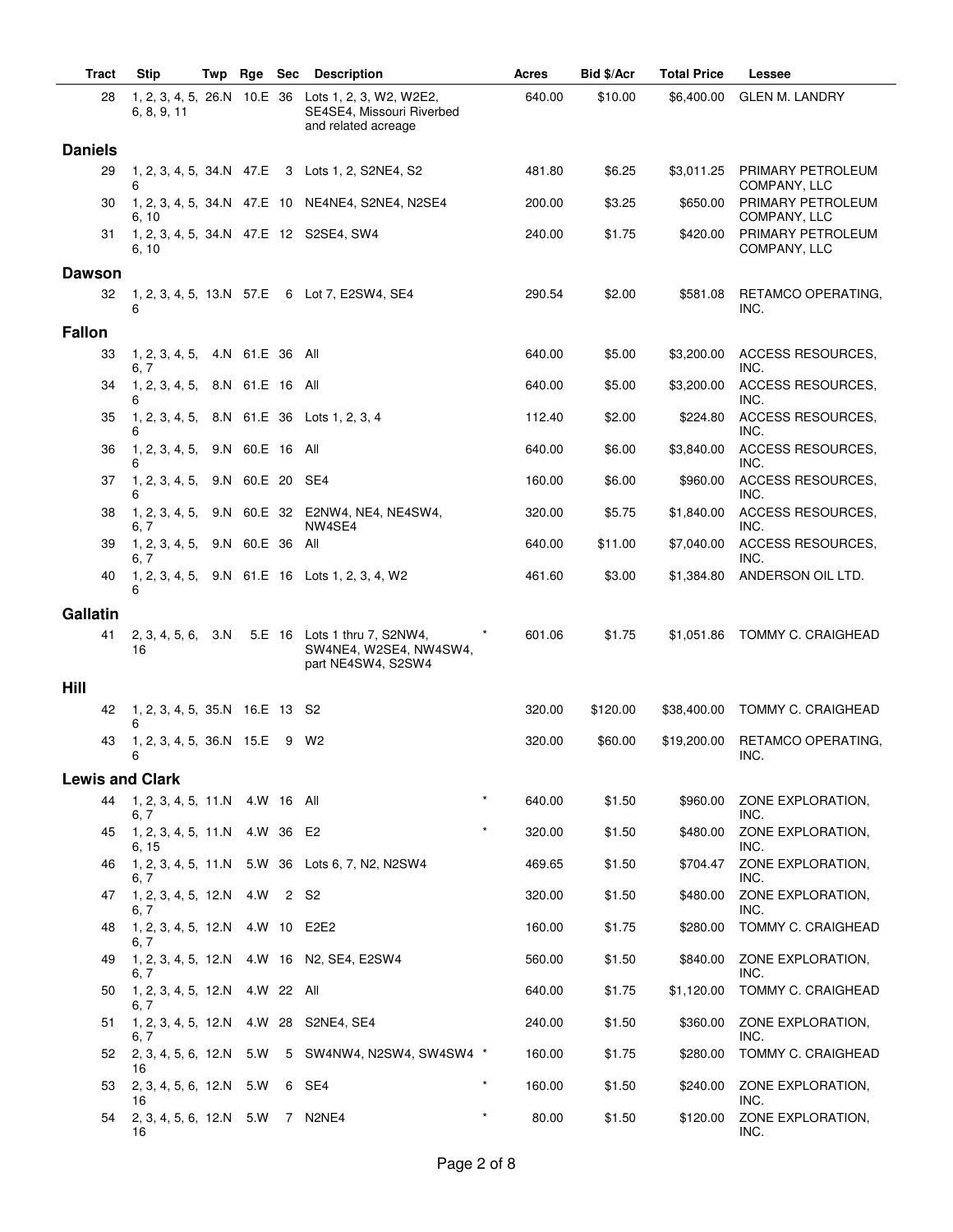| Tract          | <b>Stip</b>                                      | Twp | Rge Sec         |      | <b>Description</b>                                                           | <b>Acres</b>      | Bid \$/Acr | <b>Total Price</b> | Lessee                            |
|----------------|--------------------------------------------------|-----|-----------------|------|------------------------------------------------------------------------------|-------------------|------------|--------------------|-----------------------------------|
|                | 28<br>1, 2, 3, 4, 5, 26.N 10.E 36<br>6, 8, 9, 11 |     |                 |      | Lots 1, 2, 3, W2, W2E2,<br>SE4SE4, Missouri Riverbed<br>and related acreage  | 640.00            | \$10.00    | \$6,400.00         | <b>GLEN M. LANDRY</b>             |
| <b>Daniels</b> |                                                  |     |                 |      |                                                                              |                   |            |                    |                                   |
|                | 29<br>6                                          |     |                 |      | 1, 2, 3, 4, 5, 34. N 47. E 3 Lots 1, 2, S2NE4, S2                            | 481.80            | \$6.25     | \$3,011.25         | PRIMARY PETROLEUM<br>COMPANY, LLC |
|                | 30<br>6, 10                                      |     |                 |      | 1, 2, 3, 4, 5, 34.N 47.E 10 NE4NE4, S2NE4, N2SE4                             | 200.00            | \$3.25     | \$650.00           | PRIMARY PETROLEUM<br>COMPANY, LLC |
|                | 31<br>6, 10                                      |     |                 |      | 1, 2, 3, 4, 5, 34.N 47.E 12 S2SE4, SW4                                       | 240.00            | \$1.75     | \$420.00           | PRIMARY PETROLEUM<br>COMPANY, LLC |
| <b>Dawson</b>  |                                                  |     |                 |      |                                                                              |                   |            |                    |                                   |
|                | 32<br>6                                          |     |                 |      | 1, 2, 3, 4, 5, 13.N 57.E 6 Lot 7, E2SW4, SE4                                 | 290.54            | \$2.00     | \$581.08           | RETAMCO OPERATING,<br>INC.        |
| <b>Fallon</b>  |                                                  |     |                 |      |                                                                              |                   |            |                    |                                   |
|                | 1, 2, 3, 4, 5,<br>33<br>6, 7                     |     | 4.N 61.E 36 All |      |                                                                              | 640.00            | \$5.00     | \$3,200.00         | ACCESS RESOURCES,<br>INC.         |
|                | 1, 2, 3, 4, 5,<br>34<br>6                        |     | 8.N 61.E 16 All |      |                                                                              | 640.00            | \$5.00     | \$3,200.00         | ACCESS RESOURCES,<br>INC.         |
|                | 35<br>1, 2, 3, 4, 5,<br>6                        |     |                 |      | 8.N 61.E 36 Lots 1, 2, 3, 4                                                  | 112.40            | \$2.00     | \$224.80           | ACCESS RESOURCES,<br>INC.         |
|                | 1, 2, 3, 4, 5,<br>36<br>6                        |     | 9.N 60.E 16 All |      |                                                                              | 640.00            | \$6.00     | \$3,840.00         | ACCESS RESOURCES,<br>INC.         |
|                | 1, 2, 3, 4, 5,<br>37<br>6                        |     | 9.N 60.E 20 SE4 |      |                                                                              | 160.00            | \$6.00     | \$960.00           | <b>ACCESS RESOURCES.</b><br>INC.  |
|                | 1, 2, 3, 4, 5,<br>38<br>6, 7                     |     |                 |      | 9.N 60.E 32 E2NW4, NE4, NE4SW4,<br>NW4SE4                                    | 320.00            | \$5.75     | \$1,840.00         | <b>ACCESS RESOURCES,</b><br>INC.  |
|                | 39<br>1, 2, 3, 4, 5,<br>6, 7                     |     | 9.N 60.E 36 All |      |                                                                              | 640.00            | \$11.00    | \$7,040.00         | ACCESS RESOURCES,<br>INC.         |
|                | 40<br>6                                          |     |                 |      | 1, 2, 3, 4, 5, 9.N 61.E 16 Lots 1, 2, 3, 4, W2                               | 461.60            | \$3.00     | \$1,384.80         | ANDERSON OIL LTD.                 |
| Gallatin       |                                                  |     |                 |      |                                                                              |                   |            |                    |                                   |
|                | 41<br>2, 3, 4, 5, 6, 3.N<br>16                   |     |                 |      | 5.E 16 Lots 1 thru 7, S2NW4,<br>SW4NE4, W2SE4, NW4SW4,<br>part NE4SW4, S2SW4 | 601.06            | \$1.75     | \$1,051.86         | TOMMY C. CRAIGHEAD                |
| Hill           |                                                  |     |                 |      |                                                                              |                   |            |                    |                                   |
|                | 1, 2, 3, 4, 5, 35.N 16.E 13 S2<br>42<br>6        |     |                 |      |                                                                              | 320.00            | \$120.00   | \$38,400.00        | TOMMY C. CRAIGHEAD                |
|                | 1, 2, 3, 4, 5, 36.N 15.E 9 W2<br>43<br>6         |     |                 |      |                                                                              | 320.00            | \$60.00    | \$19,200.00        | RETAMCO OPERATING,<br>INC.        |
|                | <b>Lewis and Clark</b>                           |     |                 |      |                                                                              |                   |            |                    |                                   |
|                | 44<br>1, 2, 3, 4, 5, 11.N 4.W 16 All<br>6, 7     |     |                 |      |                                                                              | $\star$<br>640.00 | \$1.50     | \$960.00           | ZONE EXPLORATION,<br>INC.         |
|                | 1, 2, 3, 4, 5, 11.N 4.W 36 E2<br>45<br>6, 15     |     |                 |      |                                                                              | $\star$<br>320.00 | \$1.50     | \$480.00           | ZONE EXPLORATION,<br>INC.         |
|                | 46<br>6, 7                                       |     |                 |      | 1, 2, 3, 4, 5, 11.N 5.W 36 Lots 6, 7, N2, N2SW4                              | 469.65            | \$1.50     | \$704.47           | ZONE EXPLORATION.<br>INC.         |
|                | $1, 2, 3, 4, 5, 12.N$ 4.W<br>47<br>6.7           |     |                 | 2 S2 |                                                                              | 320.00            | \$1.50     | \$480.00           | ZONE EXPLORATION.<br>INC.         |
|                | 1, 2, 3, 4, 5, 12.N 4.W 10 E2E2<br>48<br>6, 7    |     |                 |      |                                                                              | 160.00            | \$1.75     | \$280.00           | TOMMY C. CRAIGHEAD                |
|                | 49<br>6, 7                                       |     |                 |      | 1, 2, 3, 4, 5, 12.N 4.W 16 N2, SE4, E2SW4                                    | 560.00            | \$1.50     | \$840.00           | ZONE EXPLORATION,<br>INC.         |
|                | 1, 2, 3, 4, 5, 12.N<br>50<br>6, 7                |     | 4.W 22 All      |      |                                                                              | 640.00            | \$1.75     | \$1,120.00         | TOMMY C. CRAIGHEAD                |
|                | 51<br>6, 7                                       |     |                 |      | 1, 2, 3, 4, 5, 12.N 4.W 28 S2NE4, SE4                                        | 240.00            | \$1.50     | \$360.00           | ZONE EXPLORATION,<br>INC.         |
|                | 2, 3, 4, 5, 6, 12.N 5.W<br>52<br>16              |     |                 |      | 5 SW4NW4, N2SW4, SW4SW4 *                                                    | 160.00            | \$1.75     | \$280.00           | TOMMY C. CRAIGHEAD                |
|                | 53<br>$2, 3, 4, 5, 6, 12.N$ 5.W<br>16            |     |                 |      | 6 SE4                                                                        | $\star$<br>160.00 | \$1.50     | \$240.00           | ZONE EXPLORATION,<br>INC.         |
|                | 2, 3, 4, 5, 6, 12.N 5.W<br>54<br>16              |     |                 |      | 7 N2NE4                                                                      | $\star$<br>80.00  | \$1.50     | \$120.00           | ZONE EXPLORATION,<br>INC.         |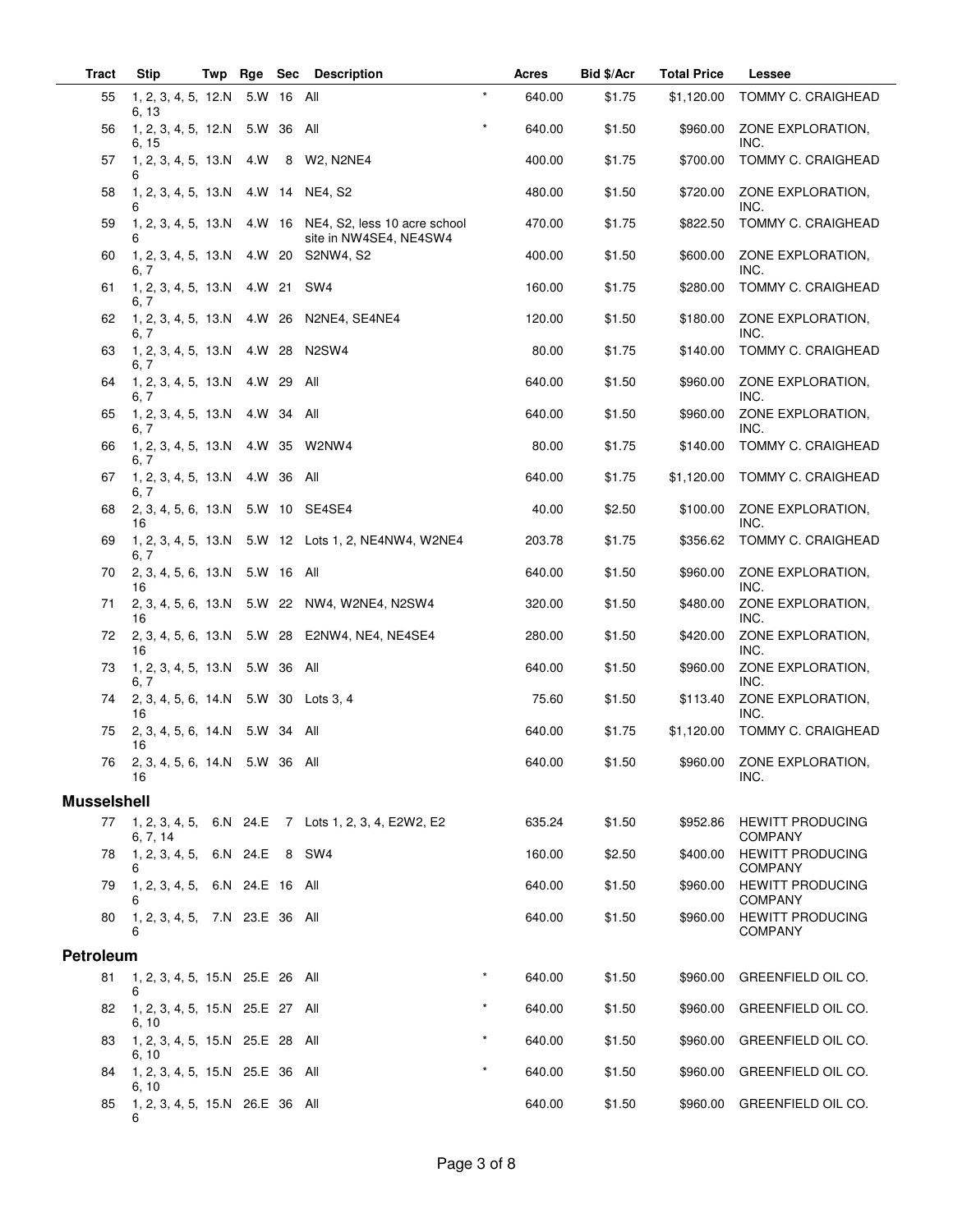| Tract              | <b>Stip</b>                                      | Twp |            |   | Rge Sec Description                                                               |          | Acres  | Bid \$/Acr | <b>Total Price</b> | Lessee                                    |
|--------------------|--------------------------------------------------|-----|------------|---|-----------------------------------------------------------------------------------|----------|--------|------------|--------------------|-------------------------------------------|
| 55                 | 1, 2, 3, 4, 5, 12.N 5.W 16 All<br>6, 13          |     |            |   |                                                                                   | $\star$  | 640.00 | \$1.75     | \$1,120.00         | TOMMY C. CRAIGHEAD                        |
| 56                 | 1, 2, 3, 4, 5, 12.N 5.W 36<br>6, 15              |     |            |   | All                                                                               | $\star$  | 640.00 | \$1.50     | \$960.00           | ZONE EXPLORATION,<br>INC.                 |
| 57                 | 1, 2, 3, 4, 5, 13.N<br>6                         |     | 4.W        | 8 | W2, N2NE4                                                                         |          | 400.00 | \$1.75     | \$700.00           | TOMMY C. CRAIGHEAD                        |
| 58                 | 1, 2, 3, 4, 5, 13.N 4.W 14 NE4, S2               |     |            |   |                                                                                   |          | 480.00 | \$1.50     | \$720.00           | ZONE EXPLORATION,<br>INC.                 |
| 59                 | 6                                                |     |            |   | 1, 2, 3, 4, 5, 13.N 4.W 16 NE4, S2, less 10 acre school<br>site in NW4SE4, NE4SW4 |          | 470.00 | \$1.75     | \$822.50           | TOMMY C. CRAIGHEAD                        |
| 60                 | $1, 2, 3, 4, 5, 13 \text{ N}$ 4.W 20<br>6. 7     |     |            |   | S2NW4, S2                                                                         |          | 400.00 | \$1.50     | \$600.00           | ZONE EXPLORATION,<br>INC.                 |
| 61                 | 1, 2, 3, 4, 5, 13.N 4.W 21<br>6, 7               |     |            |   | SW4                                                                               |          | 160.00 | \$1.75     | \$280.00           | TOMMY C. CRAIGHEAD                        |
| 62                 | 1, 2, 3, 4, 5, 13.N 4.W 26<br>6. 7               |     |            |   | N2NE4, SE4NE4                                                                     |          | 120.00 | \$1.50     | \$180.00           | ZONE EXPLORATION,<br>INC.                 |
| 63                 | 1, 2, 3, 4, 5, 13.N 4.W 28<br>6, 7               |     |            |   | N <sub>2</sub> SW <sub>4</sub>                                                    |          | 80.00  | \$1.75     | \$140.00           | TOMMY C. CRAIGHEAD                        |
| 64                 | 1, 2, 3, 4, 5, 13.N<br>6. 7                      |     | 4.W 29     |   | All                                                                               |          | 640.00 | \$1.50     | \$960.00           | ZONE EXPLORATION,<br>INC.                 |
| 65                 | $1, 2, 3, 4, 5, 13.N$ 4.W 34<br>6. 7             |     |            |   | All                                                                               |          | 640.00 | \$1.50     | \$960.00           | ZONE EXPLORATION,<br>INC.                 |
| 66                 | 1, 2, 3, 4, 5, 13.N 4.W 35<br>6, 7               |     |            |   | W2NW4                                                                             |          | 80.00  | \$1.75     | \$140.00           | TOMMY C. CRAIGHEAD                        |
| 67                 | 1, 2, 3, 4, 5, 13.N<br>6, 7                      |     | 4.W 36 All |   |                                                                                   |          | 640.00 | \$1.75     | \$1,120.00         | TOMMY C. CRAIGHEAD                        |
| 68                 | 2, 3, 4, 5, 6, 13.N 5.W 10 SE4SE4<br>16          |     |            |   |                                                                                   |          | 40.00  | \$2.50     | \$100.00           | ZONE EXPLORATION,<br>INC.                 |
| 69                 | 6, 7                                             |     |            |   | 1, 2, 3, 4, 5, 13.N 5.W 12 Lots 1, 2, NE4NW4, W2NE4                               |          | 203.78 | \$1.75     | \$356.62           | TOMMY C. CRAIGHEAD                        |
| 70                 | 2, 3, 4, 5, 6, 13.N 5.W 16 All<br>16             |     |            |   |                                                                                   |          | 640.00 | \$1.50     | \$960.00           | ZONE EXPLORATION,<br>INC.                 |
| 71                 | 16                                               |     |            |   | 2, 3, 4, 5, 6, 13.N 5.W 22 NW4, W2NE4, N2SW4                                      |          | 320.00 | \$1.50     | \$480.00           | ZONE EXPLORATION,<br>INC.                 |
| 72                 | 16                                               |     |            |   | 2, 3, 4, 5, 6, 13.N 5.W 28 E2NW4, NE4, NE4SE4                                     |          | 280.00 | \$1.50     | \$420.00           | ZONE EXPLORATION,<br>INC.                 |
| 73                 | 1, 2, 3, 4, 5, 13.N 5.W 36<br>6, 7               |     |            |   | All                                                                               |          | 640.00 | \$1.50     | \$960.00           | ZONE EXPLORATION.<br>INC.                 |
| 74                 | 2, 3, 4, 5, 6, 14.N 5.W 30 Lots 3, 4<br>16       |     |            |   |                                                                                   |          | 75.60  | \$1.50     | \$113.40           | ZONE EXPLORATION,<br>INC.                 |
| 75                 | 2, 3, 4, 5, 6, 14.N 5.W 34 All<br>16             |     |            |   |                                                                                   |          | 640.00 | \$1.75     | \$1,120.00         | TOMMY C. CRAIGHEAD                        |
| 76                 | 2, 3, 4, 5, 6, 14.N 5.W 36 All<br>16             |     |            |   |                                                                                   |          | 640.00 | \$1.50     |                    | \$960.00 ZONE EXPLORATION,<br>INC.        |
| <b>Musselshell</b> |                                                  |     |            |   |                                                                                   |          |        |            |                    |                                           |
| 77                 | 6, 7, 14                                         |     |            |   | 1, 2, 3, 4, 5, 6.N 24.E 7 Lots 1, 2, 3, 4, E2W2, E2                               |          | 635.24 | \$1.50     | \$952.86           | <b>HEWITT PRODUCING</b><br><b>COMPANY</b> |
| 78                 | 1, 2, 3, 4, 5, 6.N 24.E 8 SW4<br>6               |     |            |   |                                                                                   |          | 160.00 | \$2.50     | \$400.00           | <b>HEWITT PRODUCING</b><br><b>COMPANY</b> |
| 79                 | 1, 2, 3, 4, 5, 6.N 24.E 16 All<br>6              |     |            |   |                                                                                   |          | 640.00 | \$1.50     | \$960.00           | <b>HEWITT PRODUCING</b><br><b>COMPANY</b> |
| 80                 | 1, 2, 3, 4, 5, 7.N 23.E 36 All<br>6              |     |            |   |                                                                                   |          | 640.00 | \$1.50     | \$960.00           | <b>HEWITT PRODUCING</b><br><b>COMPANY</b> |
| <b>Petroleum</b>   |                                                  |     |            |   |                                                                                   |          |        |            |                    |                                           |
| 81                 | 1, 2, 3, 4, 5, 15.N 25.E 26 All                  |     |            |   |                                                                                   | $\star$  | 640.00 | \$1.50     | \$960.00           | GREENFIELD OIL CO.                        |
| 82                 | 6<br>1, 2, 3, 4, 5, 15.N 25.E 27 All             |     |            |   |                                                                                   | $^\star$ | 640.00 | \$1.50     | \$960.00           | GREENFIELD OIL CO.                        |
| 83                 | 6, 10<br>1, 2, 3, 4, 5, 15.N 25.E 28 All<br>6.10 |     |            |   |                                                                                   | $^\star$ | 640.00 | \$1.50     | \$960.00           | GREENFIELD OIL CO.                        |
| 84                 | 1, 2, 3, 4, 5, 15.N 25.E 36 All<br>6, 10         |     |            |   |                                                                                   | $\star$  | 640.00 | \$1.50     | \$960.00           | GREENFIELD OIL CO.                        |
| 85                 | 1, 2, 3, 4, 5, 15.N 26.E 36 All<br>6             |     |            |   |                                                                                   |          | 640.00 | \$1.50     | \$960.00           | GREENFIELD OIL CO.                        |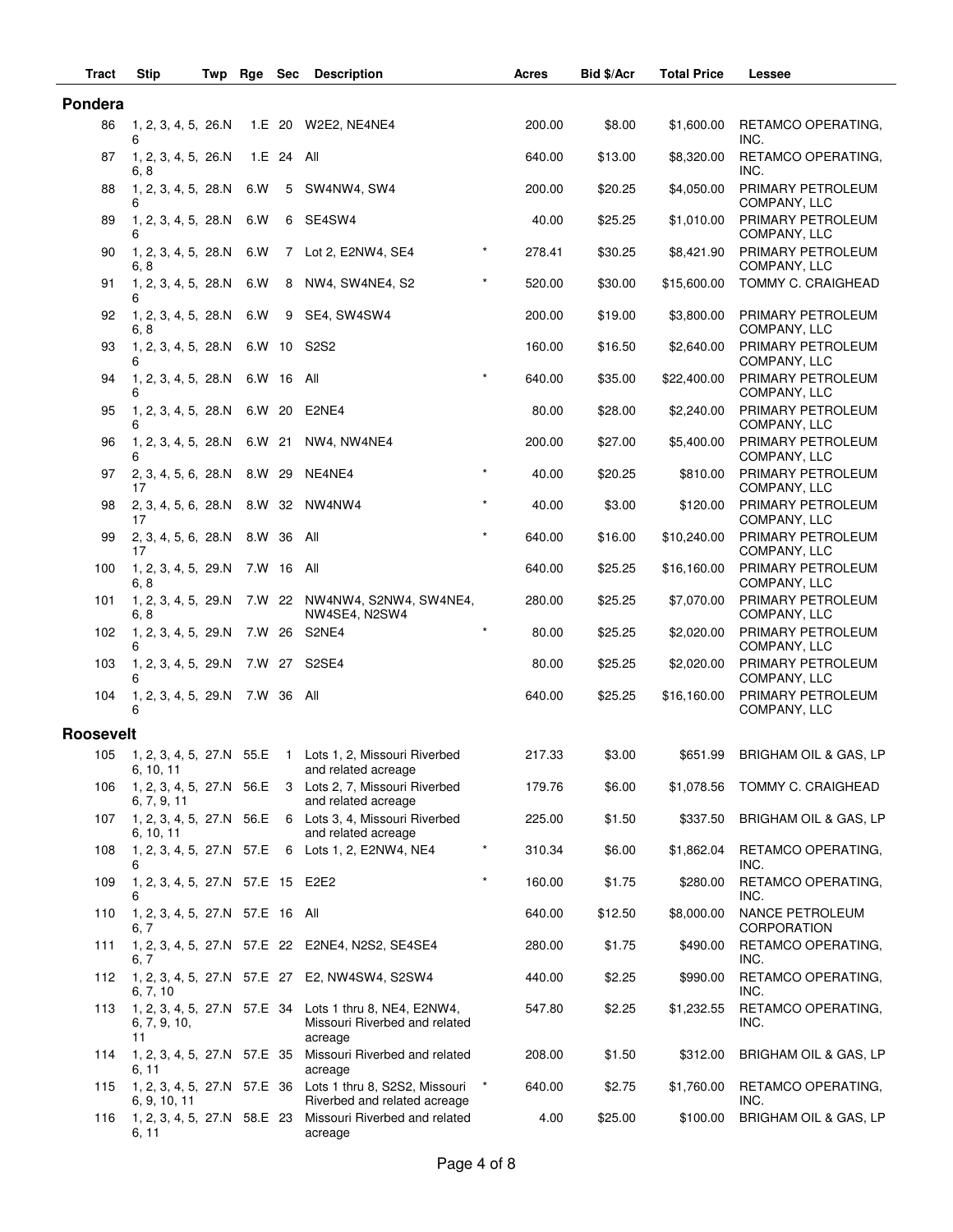| Tract            | <b>Stip</b>                             | Twp | Rge        | Sec        | <b>Description</b>                                                                                 |         | Acres  | Bid \$/Acr | <b>Total Price</b> | Lessee                                       |
|------------------|-----------------------------------------|-----|------------|------------|----------------------------------------------------------------------------------------------------|---------|--------|------------|--------------------|----------------------------------------------|
| Pondera          |                                         |     |            |            |                                                                                                    |         |        |            |                    |                                              |
| 86               | 1, 2, 3, 4, 5, 26.N<br>6                |     |            |            | 1.E 20 W2E2, NE4NE4                                                                                |         | 200.00 | \$8.00     | \$1,600.00         | RETAMCO OPERATING,<br>INC.                   |
| 87               | 1, 2, 3, 4, 5, 26.N<br>6, 8             |     |            | 1.E 24 All |                                                                                                    |         | 640.00 | \$13.00    | \$8,320.00         | RETAMCO OPERATING,<br>INC.                   |
| 88               | 1, 2, 3, 4, 5, 28.N<br>6                |     | 6.W        | 5          | SW4NW4, SW4                                                                                        |         | 200.00 | \$20.25    | \$4,050.00         | PRIMARY PETROLEUM<br>COMPANY, LLC            |
| 89               | 1, 2, 3, 4, 5, 28.N<br>6                |     | 6.W        |            | 6 SE4SW4                                                                                           |         | 40.00  | \$25.25    | \$1,010.00         | PRIMARY PETROLEUM<br>COMPANY, LLC            |
| 90               | 1, 2, 3, 4, 5, 28.N<br>6, 8             |     | 6.W        |            | 7 Lot 2, E2NW4, SE4                                                                                |         | 278.41 | \$30.25    | \$8,421.90         | PRIMARY PETROLEUM<br>COMPANY, LLC            |
| 91               | 1, 2, 3, 4, 5, 28.N<br>6                |     | 6.W        |            | 8 NW4, SW4NE4, S2                                                                                  | $\star$ | 520.00 | \$30.00    | \$15,600.00        | TOMMY C. CRAIGHEAD                           |
| 92               | 1, 2, 3, 4, 5, 28.N<br>6, 8             |     | 6.W        | 9          | SE4, SW4SW4                                                                                        |         | 200.00 | \$19.00    | \$3,800.00         | PRIMARY PETROLEUM<br>COMPANY, LLC            |
| 93               | 1, 2, 3, 4, 5, 28.N<br>6                |     |            |            | 6.W 10 S2S2                                                                                        |         | 160.00 | \$16.50    | \$2,640.00         | PRIMARY PETROLEUM<br>COMPANY, LLC            |
| 94               | 1, 2, 3, 4, 5, 28.N<br>6                |     |            | 6.W 16 All |                                                                                                    | $\star$ | 640.00 | \$35.00    | \$22,400.00        | PRIMARY PETROLEUM<br>COMPANY, LLC            |
| 95               | 1, 2, 3, 4, 5, 28.N                     |     | 6.W 20     |            | E2NE4                                                                                              |         | 80.00  | \$28.00    | \$2,240.00         | PRIMARY PETROLEUM<br>COMPANY, LLC            |
| 96               | 1, 2, 3, 4, 5, 28. N<br>6               |     | 6.W 21     |            | NW4, NW4NE4                                                                                        |         | 200.00 | \$27.00    | \$5,400.00         | PRIMARY PETROLEUM<br>COMPANY, LLC            |
| 97               | 2, 3, 4, 5, 6, 28.N<br>17               |     | 8.W 29     |            | NE4NE4                                                                                             | $\star$ | 40.00  | \$20.25    | \$810.00           | PRIMARY PETROLEUM<br>COMPANY, LLC            |
| 98               | 2, 3, 4, 5, 6, 28.N<br>17               |     |            |            | 8.W 32 NW4NW4                                                                                      | $\star$ | 40.00  | \$3.00     | \$120.00           | PRIMARY PETROLEUM<br>COMPANY, LLC            |
| 99               | 2, 3, 4, 5, 6, 28.N<br>17               |     | 8.W 36 All |            |                                                                                                    | $\star$ | 640.00 | \$16.00    | \$10,240.00        | PRIMARY PETROLEUM<br>COMPANY, LLC            |
| 100              | 1, 2, 3, 4, 5, 29.N<br>6, 8             |     | 7.W 16 All |            |                                                                                                    |         | 640.00 | \$25.25    | \$16,160.00        | PRIMARY PETROLEUM<br>COMPANY, LLC            |
| 101              | 1, 2, 3, 4, 5, 29.N<br>6, 8             |     |            |            | 7.W 22 NW4NW4, S2NW4, SW4NE4,<br>NW4SE4, N2SW4                                                     |         | 280.00 | \$25.25    | \$7,070.00         | PRIMARY PETROLEUM<br>COMPANY, LLC            |
| 102              | 1, 2, 3, 4, 5, 29.N<br>6                |     |            |            | 7.W 26 S2NE4                                                                                       | $\star$ | 80.00  | \$25.25    | \$2,020.00         | PRIMARY PETROLEUM<br>COMPANY, LLC            |
| 103              | 1, 2, 3, 4, 5, 29.N<br>6                |     |            |            | 7.W 27 S2SE4                                                                                       |         | 80.00  | \$25.25    | \$2,020.00         | PRIMARY PETROLEUM<br>COMPANY, LLC            |
| 104              | 1, 2, 3, 4, 5, 29.N<br>6                |     | 7.W 36 All |            |                                                                                                    |         | 640.00 | \$25.25    | \$16,160.00        | PRIMARY PETROLEUM<br>COMPANY, LLC            |
| <b>Roosevelt</b> |                                         |     |            |            |                                                                                                    |         |        |            |                    |                                              |
|                  | 6, 10, 11                               |     |            |            | 105 1, 2, 3, 4, 5, 27.N 55.E 1 Lots 1, 2, Missouri Riverbed<br>and related acreage                 |         | 217.33 | \$3.00     | \$651.99           | BRIGHAM OIL & GAS, LP                        |
| 106              | 6, 7, 9, 11                             |     |            |            | 1, 2, 3, 4, 5, 27.N 56.E 3 Lots 2, 7, Missouri Riverbed<br>and related acreage                     |         | 179.76 | \$6.00     | \$1,078.56         | TOMMY C. CRAIGHEAD                           |
| 107              | 6, 10, 11                               |     |            |            | 1, 2, 3, 4, 5, 27.N 56.E 6 Lots 3, 4, Missouri Riverbed<br>and related acreage                     |         | 225.00 | \$1.50     | \$337.50           | BRIGHAM OIL & GAS, LP                        |
| 108              | 6                                       |     |            |            | 1, 2, 3, 4, 5, 27.N 57.E 6 Lots 1, 2, E2NW4, NE4                                                   | $\star$ | 310.34 | \$6.00     | \$1,862.04         | RETAMCO OPERATING,<br>INC.                   |
| 109              | 1, 2, 3, 4, 5, 27.N 57.E 15 E2E2<br>6   |     |            |            |                                                                                                    | $\star$ | 160.00 | \$1.75     | \$280.00           | RETAMCO OPERATING,<br>INC.                   |
| 110              | 1, 2, 3, 4, 5, 27.N 57.E 16 All<br>6, 7 |     |            |            |                                                                                                    |         | 640.00 | \$12.50    | \$8,000.00         | <b>NANCE PETROLEUM</b><br><b>CORPORATION</b> |
| 111              | 6. 7                                    |     |            |            | 1, 2, 3, 4, 5, 27.N 57.E 22 E2NE4, N2S2, SE4SE4                                                    |         | 280.00 | \$1.75     | \$490.00           | RETAMCO OPERATING,<br>INC.                   |
| 112              | 6, 7, 10                                |     |            |            | 1, 2, 3, 4, 5, 27.N 57.E 27 E2, NW4SW4, S2SW4                                                      |         | 440.00 | \$2.25     | \$990.00           | RETAMCO OPERATING,<br>INC.                   |
| 113              | 6, 7, 9, 10,<br>11                      |     |            |            | 1, 2, 3, 4, 5, 27.N 57.E 34 Lots 1 thru 8, NE4, E2NW4,<br>Missouri Riverbed and related<br>acreage |         | 547.80 | \$2.25     | \$1,232.55         | RETAMCO OPERATING,<br>INC.                   |
| 114              | 6, 11                                   |     |            |            | 1, 2, 3, 4, 5, 27.N 57.E 35 Missouri Riverbed and related<br>acreage                               |         | 208.00 | \$1.50     | \$312.00           | BRIGHAM OIL & GAS, LP                        |
| 115              | 6, 9, 10, 11                            |     |            |            | 1, 2, 3, 4, 5, 27.N 57.E 36 Lots 1 thru 8, S2S2, Missouri<br>Riverbed and related acreage          | $\star$ | 640.00 | \$2.75     | \$1,760.00         | RETAMCO OPERATING,<br>INC.                   |
| 116              | 6, 11                                   |     |            |            | 1, 2, 3, 4, 5, 27.N 58.E 23 Missouri Riverbed and related<br>acreage                               |         | 4.00   | \$25.00    | \$100.00           | BRIGHAM OIL & GAS, LP                        |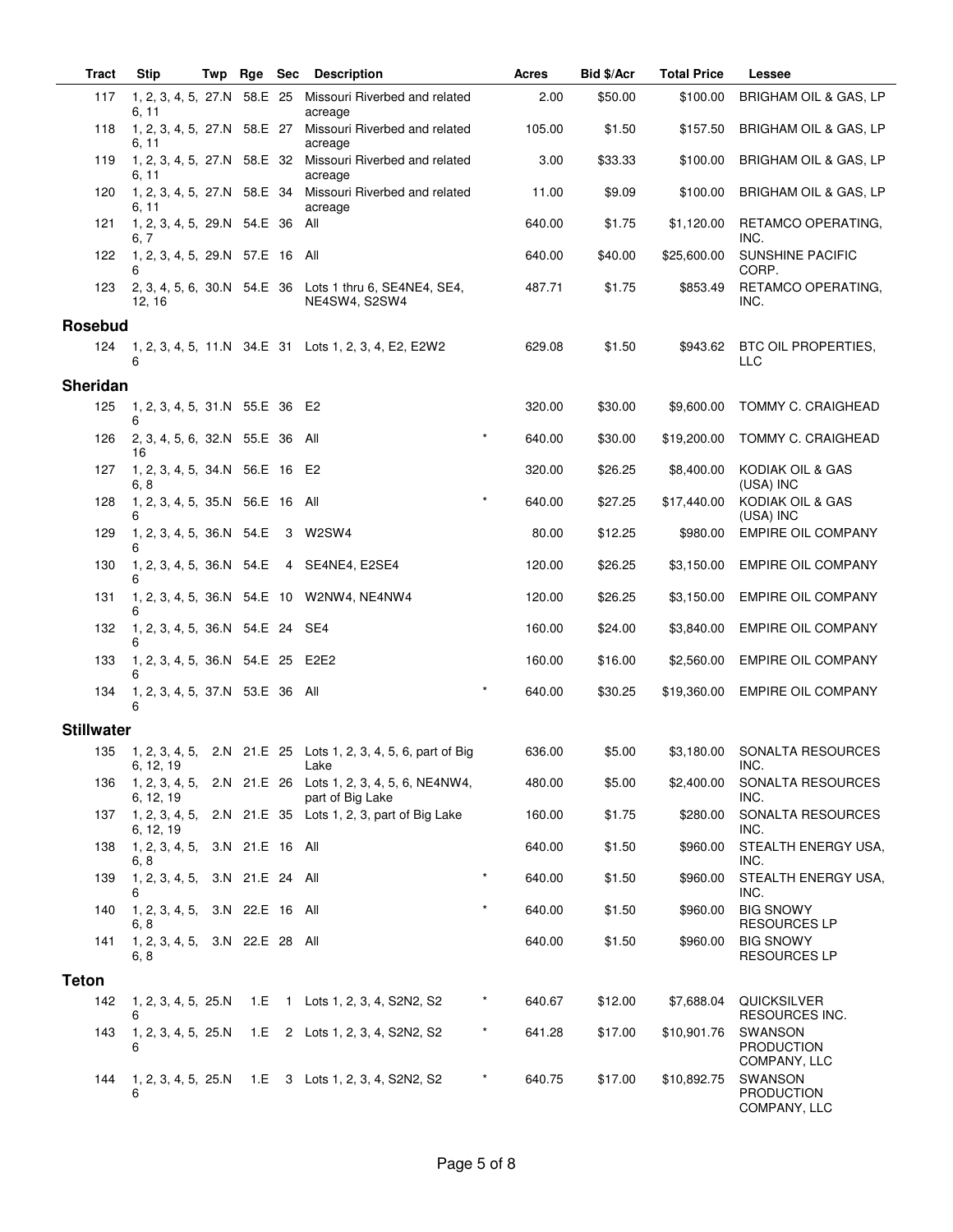| Tract             | <b>Stip</b>                             | Twp | Rge Sec |   | Description                                                                   | Acres              | Bid \$/Acr | <b>Total Price</b> | Lessee                                              |
|-------------------|-----------------------------------------|-----|---------|---|-------------------------------------------------------------------------------|--------------------|------------|--------------------|-----------------------------------------------------|
| 117               | 1, 2, 3, 4, 5, 27.N<br>6, 11            |     | 58.E 25 |   | Missouri Riverbed and related<br>acreage                                      | 2.00               | \$50.00    | \$100.00           | BRIGHAM OIL & GAS, LP                               |
| 118               | 1, 2, 3, 4, 5, 27.N 58.E 27<br>6, 11    |     |         |   | Missouri Riverbed and related<br>acreage                                      | 105.00             | \$1.50     | \$157.50           | BRIGHAM OIL & GAS, LP                               |
| 119               | 6, 11                                   |     |         |   | 1, 2, 3, 4, 5, 27.N 58.E 32 Missouri Riverbed and related<br>acreage          | 3.00               | \$33.33    | \$100.00           | BRIGHAM OIL & GAS, LP                               |
| 120               | 6, 11                                   |     |         |   | 1, 2, 3, 4, 5, 27.N 58.E 34 Missouri Riverbed and related<br>acreage          | 11.00              | \$9.09     | \$100.00           | BRIGHAM OIL & GAS, LP                               |
| 121               | 1, 2, 3, 4, 5, 29.N 54.E 36 All<br>6, 7 |     |         |   |                                                                               | 640.00             | \$1.75     | \$1,120.00         | RETAMCO OPERATING,<br>INC.                          |
| 122               | 1, 2, 3, 4, 5, 29.N 57.E 16 All<br>6    |     |         |   |                                                                               | 640.00             | \$40.00    | \$25,600.00        | <b>SUNSHINE PACIFIC</b><br>CORP.                    |
| 123               | 12, 16                                  |     |         |   | 2, 3, 4, 5, 6, 30.N 54.E 36 Lots 1 thru 6, SE4NE4, SE4,<br>NE4SW4, S2SW4      | 487.71             | \$1.75     | \$853.49           | RETAMCO OPERATING.<br>INC.                          |
| <b>Rosebud</b>    |                                         |     |         |   |                                                                               |                    |            |                    |                                                     |
| 124               | 6                                       |     |         |   | 1, 2, 3, 4, 5, 11.N 34.E 31 Lots 1, 2, 3, 4, E2, E2W2                         | 629.08             | \$1.50     | \$943.62           | BTC OIL PROPERTIES,<br>LLC                          |
| <b>Sheridan</b>   |                                         |     |         |   |                                                                               |                    |            |                    |                                                     |
| 125               | 1, 2, 3, 4, 5, 31.N 55.E 36 E2<br>6     |     |         |   |                                                                               | 320.00             | \$30.00    | \$9,600.00         | <b>TOMMY C. CRAIGHEAD</b>                           |
| 126               | 2, 3, 4, 5, 6, 32.N 55.E 36 All<br>16   |     |         |   |                                                                               | $\star$<br>640.00  | \$30.00    | \$19,200.00        | TOMMY C. CRAIGHEAD                                  |
| 127               | 1, 2, 3, 4, 5, 34.N 56.E 16 E2<br>6, 8  |     |         |   |                                                                               | 320.00             | \$26.25    | \$8,400.00         | KODIAK OIL & GAS<br>(USA) INC                       |
| 128               | 1, 2, 3, 4, 5, 35.N 56.E 16 All<br>6    |     |         |   |                                                                               | $\star$<br>640.00  | \$27.25    | \$17,440.00        | KODIAK OIL & GAS<br>(USA) INC                       |
| 129               | 1, 2, 3, 4, 5, 36.N 54.E<br>6           |     |         | 3 | W2SW4                                                                         | 80.00              | \$12.25    | \$980.00           | <b>EMPIRE OIL COMPANY</b>                           |
| 130               | 6                                       |     |         |   | 1, 2, 3, 4, 5, 36.N 54.E 4 SE4NE4, E2SE4                                      | 120.00             | \$26.25    | \$3,150.00         | <b>EMPIRE OIL COMPANY</b>                           |
| 131               | 6                                       |     |         |   | 1, 2, 3, 4, 5, 36.N 54.E 10 W2NW4, NE4NW4                                     | 120.00             | \$26.25    | \$3,150.00         | <b>EMPIRE OIL COMPANY</b>                           |
| 132               | 1, 2, 3, 4, 5, 36.N 54.E 24 SE4<br>6    |     |         |   |                                                                               | 160.00             | \$24.00    | \$3,840.00         | <b>EMPIRE OIL COMPANY</b>                           |
| 133               | 1, 2, 3, 4, 5, 36.N 54.E 25 E2E2<br>6   |     |         |   |                                                                               | 160.00             | \$16.00    | \$2,560.00         | EMPIRE OIL COMPANY                                  |
| 134               | 1, 2, 3, 4, 5, 37.N 53.E 36 All<br>6    |     |         |   |                                                                               | $\star$<br>640.00  | \$30.25    | \$19,360.00        | <b>EMPIRE OIL COMPANY</b>                           |
| <b>Stillwater</b> |                                         |     |         |   |                                                                               |                    |            |                    |                                                     |
| 135               | 6, 12, 19                               |     |         |   | 1, 2, 3, 4, 5, 2.N 21.E 25 Lots 1, 2, 3, 4, 5, 6, part of Big<br>Lake         | 636.00             | \$5.00     |                    | \$3,180.00 SONALTA RESOURCES<br>INC.                |
| 136               | 6, 12, 19                               |     |         |   | 1, 2, 3, 4, 5, 2.N 21.E 26 Lots 1, 2, 3, 4, 5, 6, NE4NW4,<br>part of Big Lake | 480.00             | \$5.00     | \$2,400.00         | SONALTA RESOURCES<br>INC.                           |
| 137               | 6, 12, 19                               |     |         |   | 1, 2, 3, 4, 5, 2.N 21.E 35 Lots 1, 2, 3, part of Big Lake                     | 160.00             | \$1.75     | \$280.00           | SONALTA RESOURCES<br>INC.                           |
| 138               | 1, 2, 3, 4, 5, 3.N 21.E 16 All<br>6, 8  |     |         |   |                                                                               | 640.00             | \$1.50     | \$960.00           | STEALTH ENERGY USA,<br>INC.                         |
| 139               | 1, 2, 3, 4, 5, 3.N 21.E 24 All<br>6     |     |         |   |                                                                               | $\star$<br>640.00  | \$1.50     | \$960.00           | STEALTH ENERGY USA,<br>INC.                         |
| 140               | 1, 2, 3, 4, 5, 3.N 22.E 16 All<br>6, 8  |     |         |   |                                                                               | $\star$<br>640.00  | \$1.50     | \$960.00           | <b>BIG SNOWY</b><br><b>RESOURCES LP</b>             |
| 141               | 1, 2, 3, 4, 5, 3.N 22.E 28 All<br>6, 8  |     |         |   |                                                                               | 640.00             | \$1.50     | \$960.00           | <b>BIG SNOWY</b><br><b>RESOURCES LP</b>             |
| <b>Teton</b>      |                                         |     |         |   |                                                                               |                    |            |                    |                                                     |
| 142               | 1, 2, 3, 4, 5, 25.N<br>6                |     |         |   | 1.E 1 Lots 1, 2, 3, 4, S2N2, S2                                               | $^\star$<br>640.67 | \$12.00    | \$7,688.04         | QUICKSILVER<br>RESOURCES INC.                       |
| 143               | 1, 2, 3, 4, 5, 25.N<br>6                |     |         |   | 1.E 2 Lots 1, 2, 3, 4, S2N2, S2                                               | $\star$<br>641.28  | \$17.00    | \$10,901.76        | <b>SWANSON</b><br><b>PRODUCTION</b><br>COMPANY, LLC |
| 144               | 1, 2, 3, 4, 5, 25. N<br>6               |     |         |   | 1.E 3 Lots 1, 2, 3, 4, S2N2, S2                                               | $\ast$<br>640.75   | \$17.00    | \$10,892.75        | SWANSON<br><b>PRODUCTION</b><br>COMPANY, LLC        |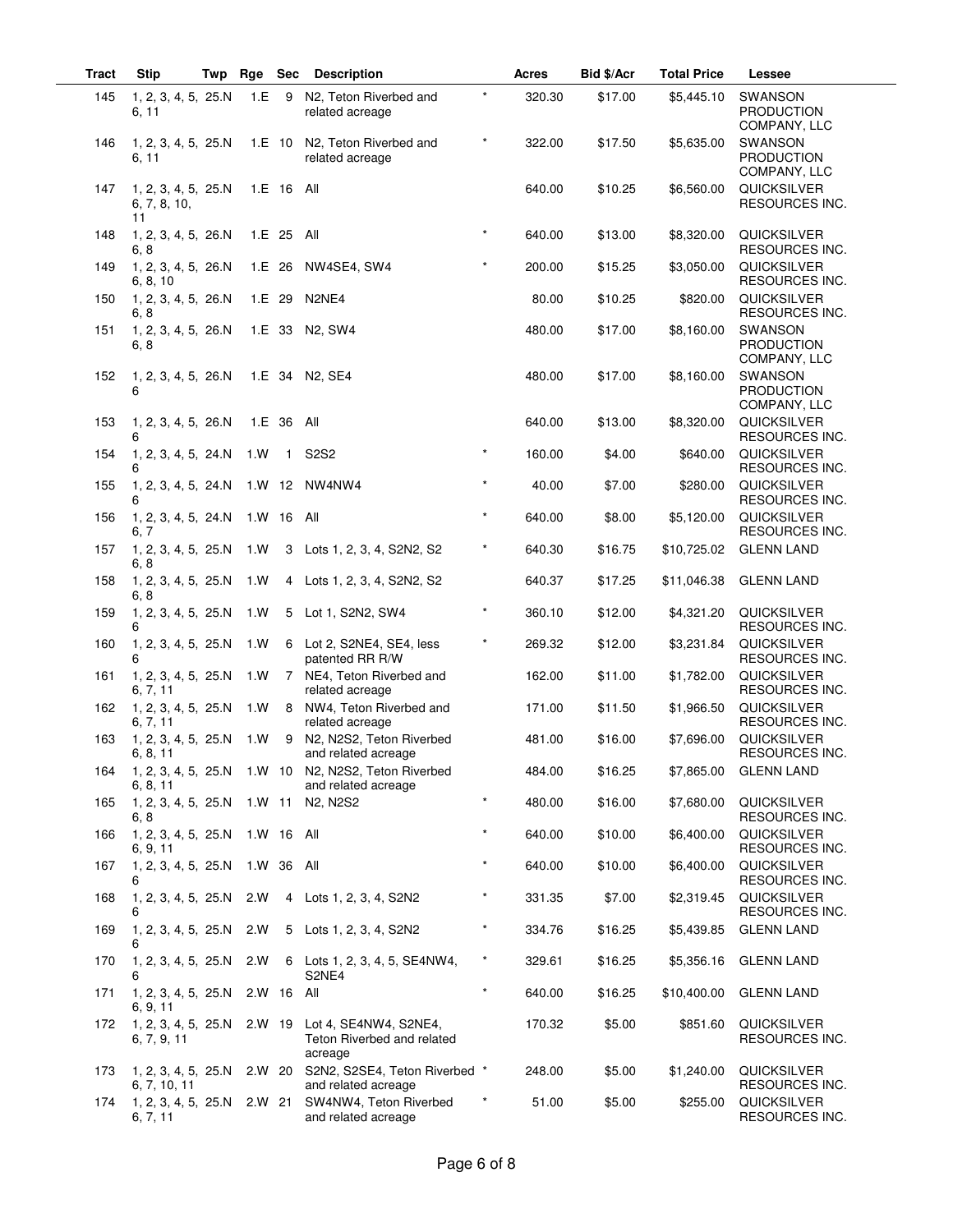| <b>Tract</b> | <b>Stip</b>                               | Twp | Rge        | Sec          | <b>Description</b>                                                         |         | Acres            | Bid \$/Acr         | <b>Total Price</b>       | Lessee                                              |
|--------------|-------------------------------------------|-----|------------|--------------|----------------------------------------------------------------------------|---------|------------------|--------------------|--------------------------|-----------------------------------------------------|
| 145          | 1, 2, 3, 4, 5, 25.N<br>6, 11              |     | 1.E        | - 9          | N <sub>2</sub> , Teton Riverbed and<br>related acreage                     | $\star$ | 320.30           | \$17.00            | \$5,445.10               | SWANSON<br><b>PRODUCTION</b><br>COMPANY, LLC        |
| 146          | 1, 2, 3, 4, 5, 25.N<br>6, 11              |     |            | 1.E 10       | N2, Teton Riverbed and<br>related acreage                                  |         | 322.00           | \$17.50            | \$5,635.00               | SWANSON<br><b>PRODUCTION</b><br>COMPANY, LLC        |
| 147          | 1, 2, 3, 4, 5, 25.N<br>6, 7, 8, 10,<br>11 |     |            | 1.E 16 All   |                                                                            |         | 640.00           | \$10.25            | \$6,560.00               | QUICKSILVER<br>RESOURCES INC.                       |
| 148          | 1, 2, 3, 4, 5, 26.N<br>6, 8               |     |            | 1.E 25 All   |                                                                            | $\star$ | 640.00           | \$13.00            | \$8,320.00               | QUICKSILVER<br>RESOURCES INC.                       |
| 149          | 1, 2, 3, 4, 5, 26.N<br>6, 8, 10           |     |            |              | 1.E 26 NW4SE4, SW4                                                         | $\star$ | 200.00           | \$15.25            | \$3,050.00               | <b>QUICKSILVER</b><br><b>RESOURCES INC.</b>         |
| 150          | 1, 2, 3, 4, 5, 26.N<br>6, 8               |     |            |              | 1.E 29 N2NE4                                                               |         | 80.00            | \$10.25            | \$820.00                 | QUICKSILVER<br>RESOURCES INC.                       |
| 151          | 1, 2, 3, 4, 5, 26.N<br>6, 8               |     |            |              | 1.E 33 N2, SW4                                                             |         | 480.00           | \$17.00            | \$8,160.00               | <b>SWANSON</b><br><b>PRODUCTION</b><br>COMPANY, LLC |
| 152          | 1, 2, 3, 4, 5, 26.N<br>6                  |     |            |              | 1.E 34 N2, SE4                                                             |         | 480.00           | \$17.00            | \$8,160.00               | SWANSON<br><b>PRODUCTION</b><br>COMPANY, LLC        |
| 153          | 1, 2, 3, 4, 5, 26.N<br>6                  |     |            | 1.E 36 All   |                                                                            |         | 640.00           | \$13.00            | \$8,320.00               | QUICKSILVER<br>RESOURCES INC.                       |
| 154          | 1, 2, 3, 4, 5, 24.N<br>6                  |     | 1.W        | $\mathbf{1}$ | <b>S2S2</b>                                                                | $\star$ | 160.00           | \$4.00             | \$640.00                 | <b>QUICKSILVER</b><br>RESOURCES INC.                |
| 155          | 1, 2, 3, 4, 5, 24.N<br>6                  |     |            |              | 1.W 12 NW4NW4                                                              | $\star$ | 40.00            | \$7.00             | \$280.00                 | QUICKSILVER<br>RESOURCES INC.                       |
| 156          | 1, 2, 3, 4, 5, 24.N<br>6, 7               |     | 1.W 16 All |              |                                                                            | $\star$ | 640.00           | \$8.00             | \$5,120.00               | QUICKSILVER<br>RESOURCES INC.                       |
| 157          | 1, 2, 3, 4, 5, 25.N<br>6, 8               |     | 1. W       | 3            | Lots 1, 2, 3, 4, S2N2, S2                                                  | $\star$ | 640.30           | \$16.75            | \$10,725.02              | <b>GLENN LAND</b>                                   |
| 158          | 1, 2, 3, 4, 5, 25.N<br>6, 8               |     | 1. W       |              | 4 Lots 1, 2, 3, 4, S2N2, S2                                                |         | 640.37           | \$17.25            | \$11,046.38              | <b>GLENN LAND</b>                                   |
| 159          | 1, 2, 3, 4, 5, 25.N<br>6                  |     | 1.W        | 5            | Lot 1, S2N2, SW4                                                           | $\star$ | 360.10           | \$12.00            | \$4,321.20               | <b>QUICKSILVER</b><br>RESOURCES INC.                |
| 160          | 1, 2, 3, 4, 5, 25.N<br>6                  |     | 1. W       | 6            | Lot 2, S2NE4, SE4, less<br>patented RR R/W                                 | $\star$ | 269.32           | \$12.00            | \$3,231.84               | QUICKSILVER<br>RESOURCES INC.                       |
| 161          | 1, 2, 3, 4, 5, 25.N<br>6, 7, 11           |     | 1.W        |              | 7 NE4, Teton Riverbed and<br>related acreage                               |         | 162.00           | \$11.00            | \$1,782.00               | QUICKSILVER<br>RESOURCES INC.                       |
| 162          | 1, 2, 3, 4, 5, 25.N<br>6, 7, 11           |     | 1.W        | 8            | NW4, Teton Riverbed and<br>related acreage                                 |         | 171.00           | \$11.50            | \$1,966.50               | QUICKSILVER<br><b>RESOURCES INC.</b>                |
| 163          | 1, 2, 3, 4, 5, 25.N<br>6, 8, 11           |     | 1.W        | 9            | N2, N2S2, Teton Riverbed<br>and related acreage                            |         | 481.00           | \$16.00            | \$7,696.00               | QUICKSILVER<br>RESOURCES INC.                       |
| 164          | 6, 8, 11                                  |     |            |              | 1, 2, 3, 4, 5, 25.N 1.W 10 N2, N2S2, Teton Riverbed<br>and related acreage | $\star$ | 484.00           | \$16.25            |                          | \$7,865.00 GLENN LAND                               |
| 165          | 1, 2, 3, 4, 5, 25.N<br>6, 8               |     |            |              | 1.W 11 N2, N2S2                                                            | $\star$ | 480.00           | \$16.00            | \$7,680.00               | QUICKSILVER<br>RESOURCES INC.                       |
| 166          | 1, 2, 3, 4, 5, 25.N<br>6, 9, 11           |     | 1.W 16 All |              |                                                                            | $\star$ | 640.00           | \$10.00            | \$6,400.00               | QUICKSILVER<br><b>RESOURCES INC.</b>                |
| 167          | 1, 2, 3, 4, 5, 25.N<br>6                  |     | 1.W 36 All |              |                                                                            | $\star$ | 640.00           | \$10.00            | \$6,400.00               | QUICKSILVER<br>RESOURCES INC.                       |
| 168          | 1, 2, 3, 4, 5, 25.N<br>6                  |     | 2.W        |              | 4 Lots 1, 2, 3, 4, S2N2                                                    | $\star$ | 331.35           | \$7.00             | \$2,319.45               | QUICKSILVER<br><b>RESOURCES INC.</b>                |
| 169          | 1, 2, 3, 4, 5, 25.N<br>6                  |     | 2.W<br>2.W |              | 5 Lots 1, 2, 3, 4, S2N2                                                    | $\star$ | 334.76<br>329.61 | \$16.25<br>\$16.25 | \$5,439.85<br>\$5,356.16 | <b>GLENN LAND</b>                                   |
| 170          | 1, 2, 3, 4, 5, 25.N<br>6                  |     | 2.W 16 All |              | 6 Lots 1, 2, 3, 4, 5, SE4NW4,<br>S2NE4                                     | $\star$ | 640.00           | \$16.25            | \$10,400.00              | <b>GLENN LAND</b><br><b>GLENN LAND</b>              |
| 171          | 1, 2, 3, 4, 5, 25.N<br>6, 9, 11           |     |            |              |                                                                            |         |                  |                    |                          |                                                     |
| 172          | 1, 2, 3, 4, 5, 25.N<br>6, 7, 9, 11        |     | 2.W 19     |              | Lot 4, SE4NW4, S2NE4,<br>Teton Riverbed and related<br>acreage             |         | 170.32           | \$5.00             | \$851.60                 | <b>QUICKSILVER</b><br>RESOURCES INC.                |
| 173          | 1, 2, 3, 4, 5, 25.N<br>6, 7, 10, 11       |     |            |              | 2.W 20 S2N2, S2SE4, Teton Riverbed *<br>and related acreage                |         | 248.00           | \$5.00             | \$1,240.00               | QUICKSILVER<br>RESOURCES INC.                       |
| 174          | 1, 2, 3, 4, 5, 25.N 2.W 21<br>6, 7, 11    |     |            |              | SW4NW4, Teton Riverbed<br>and related acreage                              | $\star$ | 51.00            | \$5.00             | \$255.00                 | QUICKSILVER<br>RESOURCES INC.                       |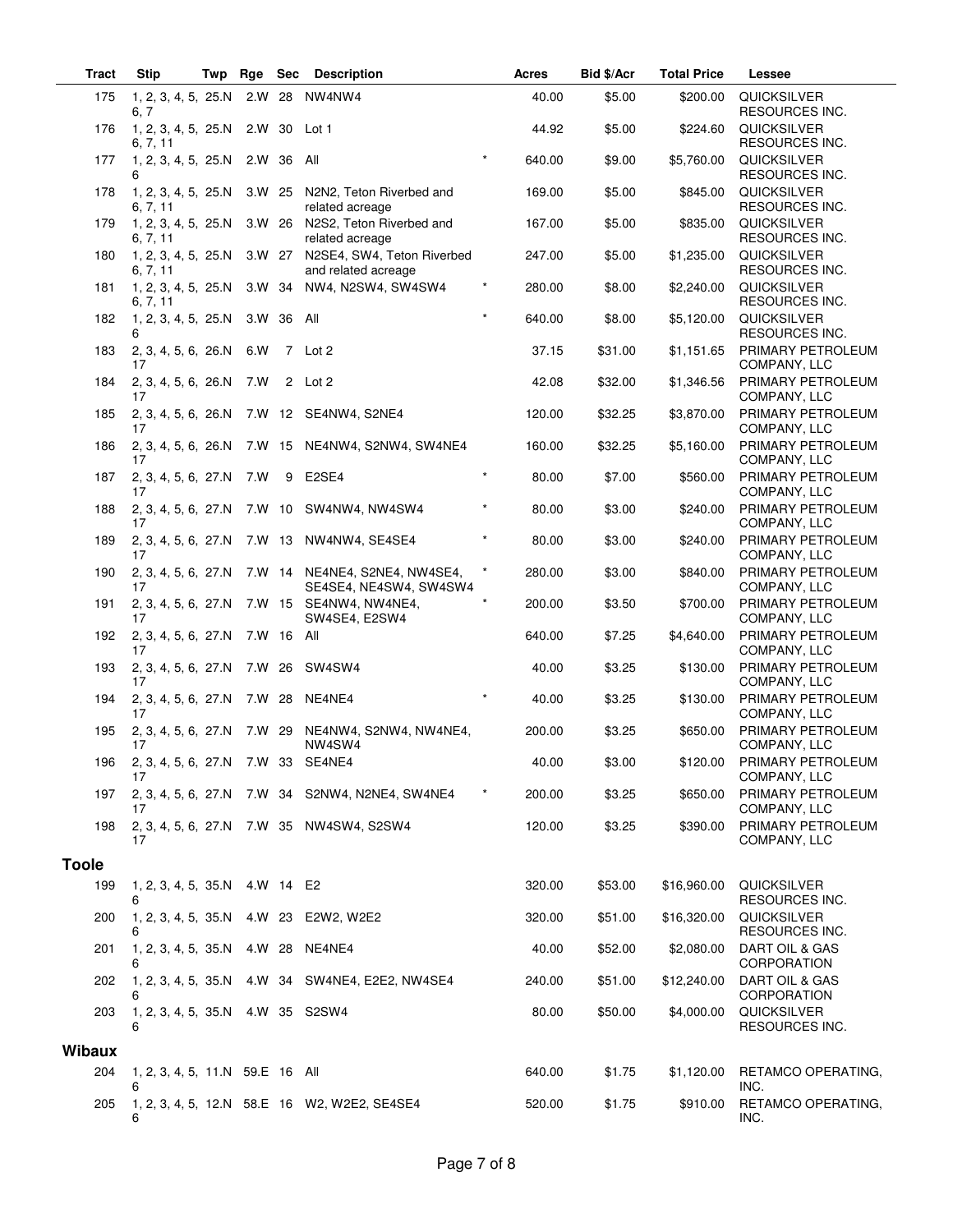| <b>Tract</b>  | <b>Stip</b>                           | Twp | Rge        | Sec        | <b>Description</b>                                      |          | Acres  | Bid \$/Acr | <b>Total Price</b> | Lessee                                      |
|---------------|---------------------------------------|-----|------------|------------|---------------------------------------------------------|----------|--------|------------|--------------------|---------------------------------------------|
| 175           | 1, 2, 3, 4, 5, 25.N<br>6, 7           |     |            |            | 2.W 28 NW4NW4                                           |          | 40.00  | \$5.00     | \$200.00           | <b>QUICKSILVER</b><br><b>RESOURCES INC.</b> |
| 176           | 1, 2, 3, 4, 5, 25.N<br>6, 7, 11       |     | 2.W 30     |            | Lot 1                                                   |          | 44.92  | \$5.00     | \$224.60           | <b>QUICKSILVER</b><br>RESOURCES INC.        |
| 177           | 1, 2, 3, 4, 5, 25.N<br>6              |     | 2.W 36     |            | All                                                     |          | 640.00 | \$9.00     | \$5,760.00         | QUICKSILVER<br><b>RESOURCES INC.</b>        |
| 178           | 1, 2, 3, 4, 5, 25.N<br>6, 7, 11       |     | 3.W 25     |            | N2N2, Teton Riverbed and<br>related acreage             |          | 169.00 | \$5.00     | \$845.00           | <b>QUICKSILVER</b><br>RESOURCES INC.        |
| 179           | 1, 2, 3, 4, 5, 25.N<br>6, 7, 11       |     |            |            | 3.W 26 N2S2, Teton Riverbed and<br>related acreage      |          | 167.00 | \$5.00     | \$835.00           | QUICKSILVER<br>RESOURCES INC.               |
| 180           | 1, 2, 3, 4, 5, 25.N<br>6, 7, 11       |     | 3.W 27     |            | N2SE4, SW4, Teton Riverbed<br>and related acreage       |          | 247.00 | \$5.00     | \$1,235.00         | QUICKSILVER<br><b>RESOURCES INC.</b>        |
| 181           | 1, 2, 3, 4, 5, 25.N<br>6, 7, 11       |     | 3.W 34     |            | NW4, N2SW4, SW4SW4                                      |          | 280.00 | \$8.00     | \$2,240.00         | <b>QUICKSILVER</b><br>RESOURCES INC.        |
| 182           | 1, 2, 3, 4, 5, 25.N<br>6              |     | 3.W 36 All |            |                                                         | $\star$  | 640.00 | \$8.00     | \$5,120.00         | QUICKSILVER<br>RESOURCES INC.               |
| 183           | 2, 3, 4, 5, 6, 26.N<br>17             |     | 6.W        |            | 7 Lot 2                                                 |          | 37.15  | \$31.00    | \$1,151.65         | PRIMARY PETROLEUM<br>COMPANY, LLC           |
| 184           | 2, 3, 4, 5, 6, 26.N<br>17             |     | 7.W        |            | 2 Lot 2                                                 |          | 42.08  | \$32.00    | \$1,346.56         | PRIMARY PETROLEUM<br>COMPANY, LLC           |
| 185           | 2, 3, 4, 5, 6, 26.N<br>17             |     |            |            | 7.W 12 SE4NW4, S2NE4                                    |          | 120.00 | \$32.25    | \$3,870.00         | PRIMARY PETROLEUM<br>COMPANY, LLC           |
| 186           | 2, 3, 4, 5, 6, 26.N<br>17             |     |            |            | 7.W 15 NE4NW4, S2NW4, SW4NE4                            |          | 160.00 | \$32.25    | \$5,160.00         | PRIMARY PETROLEUM<br>COMPANY, LLC           |
| 187           | 2, 3, 4, 5, 6, 27.N<br>17             |     | 7.W        | 9          | E2SE4                                                   | $\star$  | 80.00  | \$7.00     | \$560.00           | PRIMARY PETROLEUM<br>COMPANY, LLC           |
| 188           | 17                                    |     |            |            | 2, 3, 4, 5, 6, 27.N 7.W 10 SW4NW4, NW4SW4               |          | 80.00  | \$3.00     | \$240.00           | PRIMARY PETROLEUM<br>COMPANY, LLC           |
| 189           | 2, 3, 4, 5, 6, 27.N<br>17             |     |            |            | 7.W 13 NW4NW4, SE4SE4                                   | $\star$  | 80.00  | \$3.00     | \$240.00           | PRIMARY PETROLEUM<br>COMPANY, LLC           |
| 190           | 2, 3, 4, 5, 6, 27.N<br>17             |     |            |            | 7.W 14 NE4NE4, S2NE4, NW4SE4,<br>SE4SE4, NE4SW4, SW4SW4 | $^\star$ | 280.00 | \$3.00     | \$840.00           | PRIMARY PETROLEUM<br>COMPANY, LLC           |
| 191           | 2, 3, 4, 5, 6, 27.N<br>17             |     | 7.W 15     |            | SE4NW4, NW4NE4,<br>SW4SE4, E2SW4                        |          | 200.00 | \$3.50     | \$700.00           | PRIMARY PETROLEUM<br>COMPANY, LLC           |
| 192           | 2, 3, 4, 5, 6, 27.N<br>17             |     |            | 7.W 16 All |                                                         |          | 640.00 | \$7.25     | \$4,640.00         | PRIMARY PETROLEUM<br>COMPANY, LLC           |
| 193           | 2, 3, 4, 5, 6, 27.N<br>17             |     |            |            | 7.W 26 SW4SW4                                           |          | 40.00  | \$3.25     | \$130.00           | PRIMARY PETROLEUM<br>COMPANY, LLC           |
| 194           | 2, 3, 4, 5, 6, 27.N<br>17             |     | 7.W 28     |            | NE4NE4                                                  | $\star$  | 40.00  | \$3.25     | \$130.00           | PRIMARY PETROLEUM<br>COMPANY, LLC           |
| 195           | 2, 3, 4, 5, 6, 27.N 7.W 29<br>17      |     |            |            | NE4NW4, S2NW4, NW4NE4,<br>NW4SW4                        |          | 200.00 | \$3.25     | \$650.00           | PRIMARY PETROLEUM<br>COMPANY, LLC           |
| 196           | 2, 3, 4, 5, 6, 27.N 7.W 33<br>17      |     |            |            | SE4NE4                                                  |          | 40.00  | \$3.00     | \$120.00           | PRIMARY PETROLEUM<br>COMPANY, LLC           |
| 197           | 17                                    |     |            |            | 2, 3, 4, 5, 6, 27.N 7.W 34 S2NW4, N2NE4, SW4NE4         |          | 200.00 | \$3.25     | \$650.00           | PRIMARY PETROLEUM<br>COMPANY, LLC           |
| 198           | 17                                    |     |            |            | 2, 3, 4, 5, 6, 27.N 7.W 35 NW4SW4, S2SW4                |          | 120.00 | \$3.25     | \$390.00           | PRIMARY PETROLEUM<br>COMPANY, LLC           |
| <b>Toole</b>  |                                       |     |            |            |                                                         |          |        |            |                    |                                             |
| 199           | 1, 2, 3, 4, 5, 35.N 4.W 14 E2<br>6    |     |            |            |                                                         |          | 320.00 | \$53.00    | \$16,960.00        | QUICKSILVER<br>RESOURCES INC.               |
| 200           | 6                                     |     |            |            | 1, 2, 3, 4, 5, 35.N 4.W 23 E2W2, W2E2                   |          | 320.00 | \$51.00    | \$16,320.00        | <b>QUICKSILVER</b><br>RESOURCES INC.        |
| 201           | 1, 2, 3, 4, 5, 35.N 4.W 28 NE4NE4     |     |            |            |                                                         |          | 40.00  | \$52.00    | \$2,080.00         | DART OIL & GAS<br><b>CORPORATION</b>        |
| 202           | 6                                     |     |            |            | 1, 2, 3, 4, 5, 35.N 4.W 34 SW4NE4, E2E2, NW4SE4         |          | 240.00 | \$51.00    | \$12,240.00        | DART OIL & GAS<br>CORPORATION               |
| 203           | 1, 2, 3, 4, 5, 35.N 4.W 35 S2SW4<br>6 |     |            |            |                                                         |          | 80.00  | \$50.00    | \$4,000.00         | QUICKSILVER<br>RESOURCES INC.               |
|               |                                       |     |            |            |                                                         |          |        |            |                    |                                             |
| <b>Wibaux</b> |                                       |     |            |            |                                                         |          |        |            |                    |                                             |
| 204           | 1, 2, 3, 4, 5, 11.N 59.E 16 All<br>6  |     |            |            |                                                         |          | 640.00 | \$1.75     | \$1,120.00         | RETAMCO OPERATING,<br>INC.                  |
| 205           | 6                                     |     |            |            | 1, 2, 3, 4, 5, 12.N 58.E 16 W2, W2E2, SE4SE4            |          | 520.00 | \$1.75     | \$910.00           | RETAMCO OPERATING,<br>INC.                  |

 $\overline{\phantom{0}}$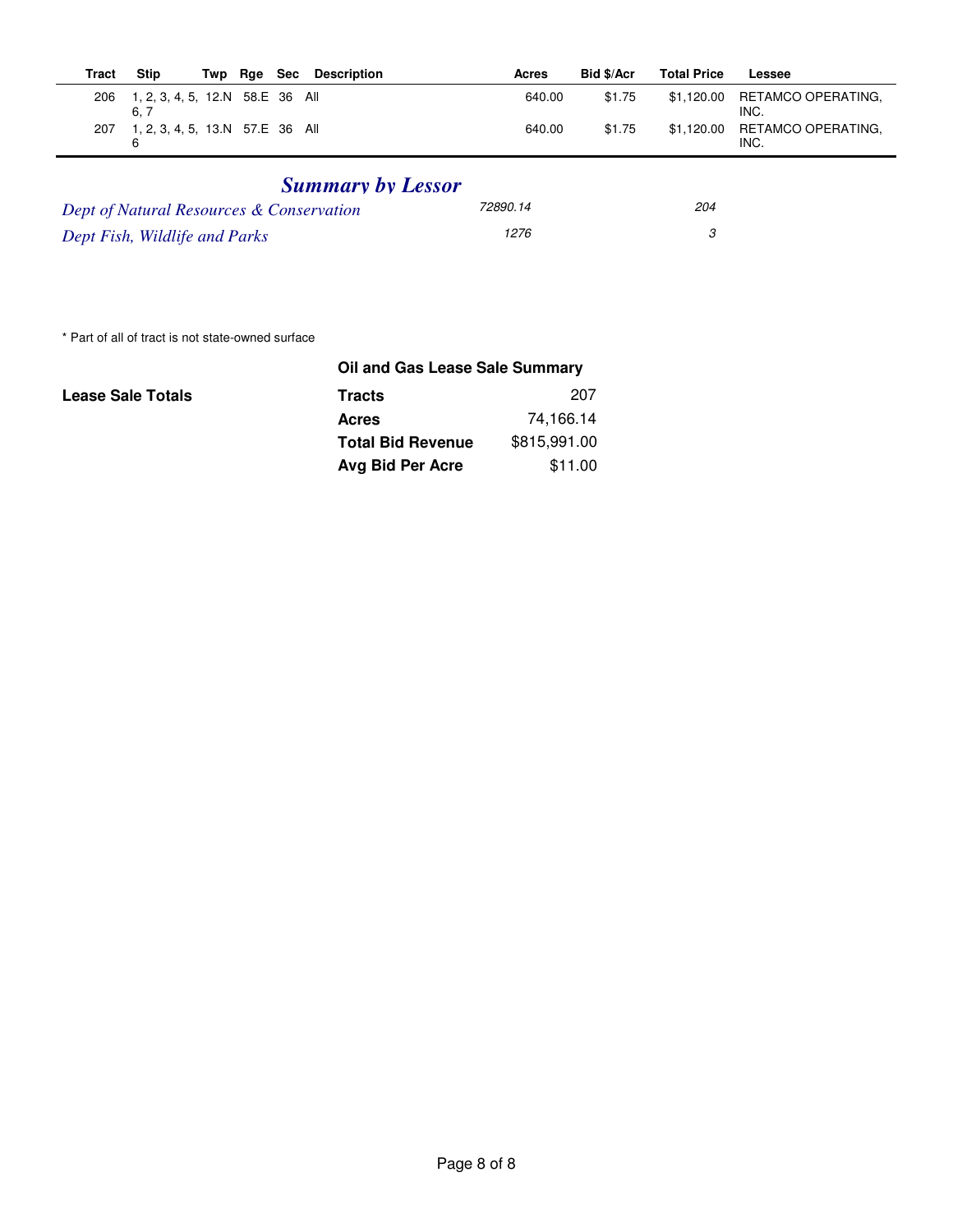| Tract | <b>Stip</b>                            | Twp Rge Sec | Description | Acres  | Bid \$/Acr | <b>Total Price</b> | Lessee                                |
|-------|----------------------------------------|-------------|-------------|--------|------------|--------------------|---------------------------------------|
| 206   | 1, 2, 3, 4, 5, 12.N 58.E 36 All<br>6.7 |             |             | 640.00 | \$1.75     |                    | \$1,120.00 RETAMCO OPERATING,<br>INC. |
| 207   | 1, 2, 3, 4, 5, 13.N 57.E 36 All<br>6   |             |             | 640.00 | \$1.75     |                    | \$1,120.00 RETAMCO OPERATING,<br>INC. |

## *Summary by Lessor*

| Dept of Natural Resources & Conservation | 72890.14 | 204 |
|------------------------------------------|----------|-----|
| Dept Fish, Wildlife and Parks            | 1276     |     |

\* Part of all of tract is not state-owned surface

|                          | Oil and Gas Lease Sale Summary |              |  |  |  |  |  |
|--------------------------|--------------------------------|--------------|--|--|--|--|--|
| <b>Lease Sale Totals</b> | <b>Tracts</b>                  | 207          |  |  |  |  |  |
|                          | <b>Acres</b>                   | 74,166.14    |  |  |  |  |  |
|                          | <b>Total Bid Revenue</b>       | \$815,991.00 |  |  |  |  |  |
|                          | Avg Bid Per Acre               | \$11.00      |  |  |  |  |  |
|                          |                                |              |  |  |  |  |  |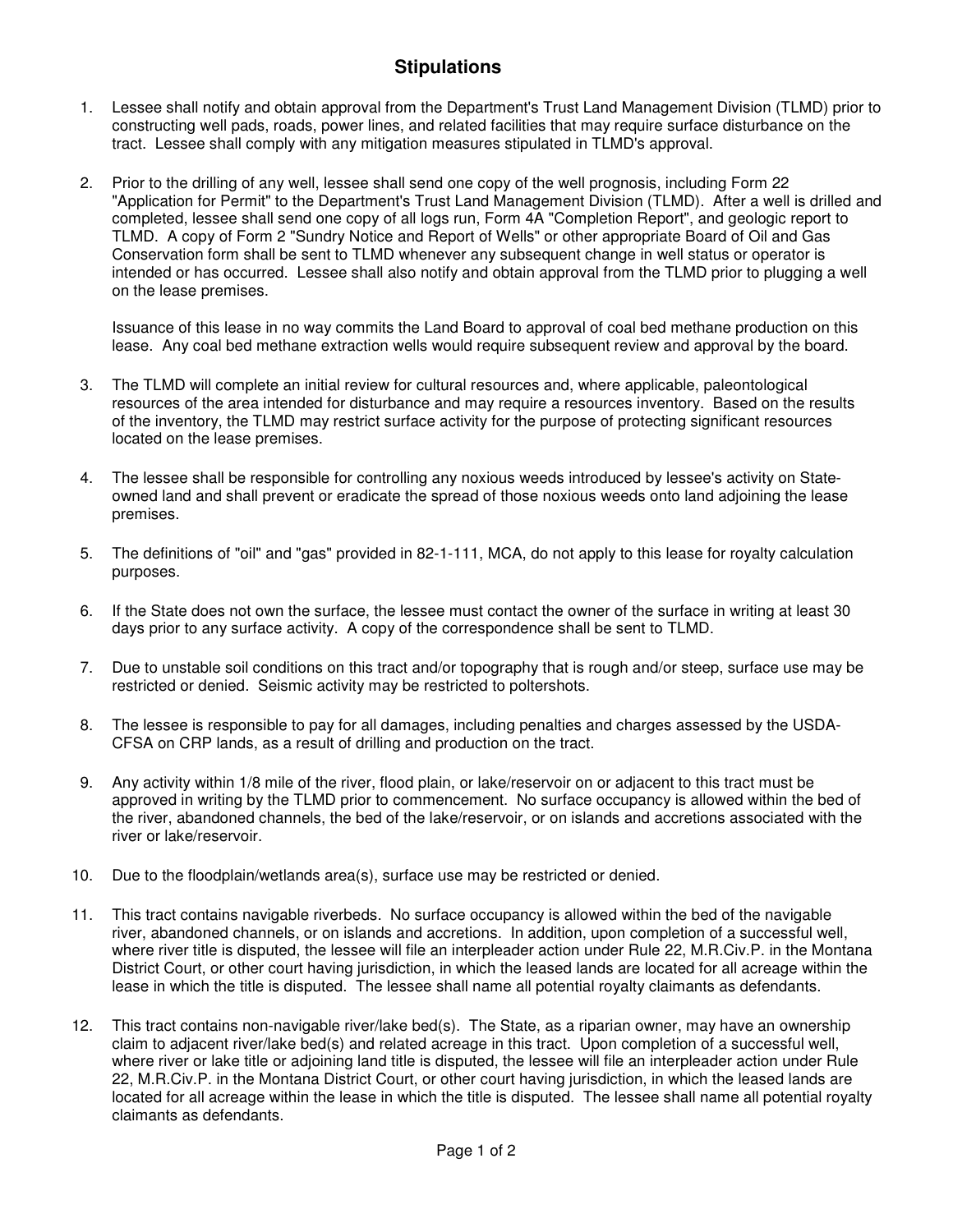## **Stipulations**

- 1. Lessee shall notify and obtain approval from the Department's Trust Land Management Division (TLMD) prior to constructing well pads, roads, power lines, and related facilities that may require surface disturbance on the tract. Lessee shall comply with any mitigation measures stipulated in TLMD's approval.
- 2. Prior to the drilling of any well, lessee shall send one copy of the well prognosis, including Form 22 "Application for Permit" to the Department's Trust Land Management Division (TLMD). After a well is drilled and completed, lessee shall send one copy of all logs run, Form 4A "Completion Report", and geologic report to TLMD. A copy of Form 2 "Sundry Notice and Report of Wells" or other appropriate Board of Oil and Gas Conservation form shall be sent to TLMD whenever any subsequent change in well status or operator is intended or has occurred. Lessee shall also notify and obtain approval from the TLMD prior to plugging a well on the lease premises.

Issuance of this lease in no way commits the Land Board to approval of coal bed methane production on this lease. Any coal bed methane extraction wells would require subsequent review and approval by the board.

- 3. The TLMD will complete an initial review for cultural resources and, where applicable, paleontological resources of the area intended for disturbance and may require a resources inventory. Based on the results of the inventory, the TLMD may restrict surface activity for the purpose of protecting significant resources located on the lease premises.
- 4. The lessee shall be responsible for controlling any noxious weeds introduced by lessee's activity on Stateowned land and shall prevent or eradicate the spread of those noxious weeds onto land adjoining the lease premises.
- 5. The definitions of "oil" and "gas" provided in 82-1-111, MCA, do not apply to this lease for royalty calculation purposes.
- 6. If the State does not own the surface, the lessee must contact the owner of the surface in writing at least 30 days prior to any surface activity. A copy of the correspondence shall be sent to TLMD.
- 7. Due to unstable soil conditions on this tract and/or topography that is rough and/or steep, surface use may be restricted or denied. Seismic activity may be restricted to poltershots.
- 8. The lessee is responsible to pay for all damages, including penalties and charges assessed by the USDA-CFSA on CRP lands, as a result of drilling and production on the tract.
- 9. Any activity within 1/8 mile of the river, flood plain, or lake/reservoir on or adjacent to this tract must be approved in writing by the TLMD prior to commencement. No surface occupancy is allowed within the bed of the river, abandoned channels, the bed of the lake/reservoir, or on islands and accretions associated with the river or lake/reservoir.
- 10. Due to the floodplain/wetlands area(s), surface use may be restricted or denied.
- 11. This tract contains navigable riverbeds. No surface occupancy is allowed within the bed of the navigable river, abandoned channels, or on islands and accretions. In addition, upon completion of a successful well, where river title is disputed, the lessee will file an interpleader action under Rule 22, M.R.Civ.P. in the Montana District Court, or other court having jurisdiction, in which the leased lands are located for all acreage within the lease in which the title is disputed. The lessee shall name all potential royalty claimants as defendants.
- 12. This tract contains non-navigable river/lake bed(s). The State, as a riparian owner, may have an ownership claim to adjacent river/lake bed(s) and related acreage in this tract. Upon completion of a successful well, where river or lake title or adjoining land title is disputed, the lessee will file an interpleader action under Rule 22, M.R.Civ.P. in the Montana District Court, or other court having jurisdiction, in which the leased lands are located for all acreage within the lease in which the title is disputed. The lessee shall name all potential royalty claimants as defendants.